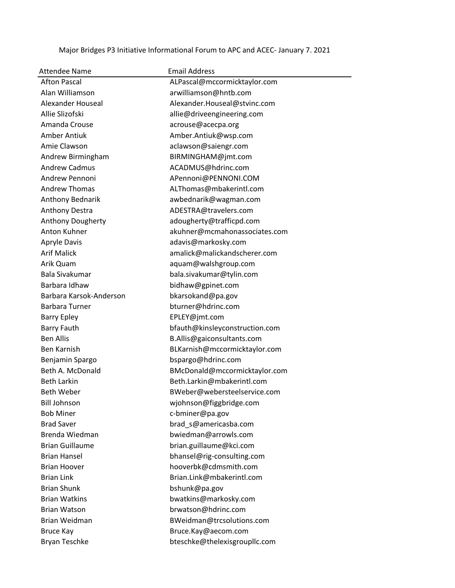Major Bridges P3 Initiative Informational Forum to APC and ACEC- January 7. 2021

| <b>Attendee Name</b>    | <b>Email Address</b>           |
|-------------------------|--------------------------------|
| <b>Afton Pascal</b>     | ALPascal@mccormicktaylor.com   |
| Alan Williamson         | arwilliamson@hntb.com          |
| Alexander Houseal       | Alexander.Houseal@stvinc.com   |
| Allie Slizofski         | allie@driveengineering.com     |
| Amanda Crouse           | acrouse@acecpa.org             |
| Amber Antiuk            | Amber.Antiuk@wsp.com           |
| Amie Clawson            | aclawson@saiengr.com           |
| Andrew Birmingham       | BIRMINGHAM@jmt.com             |
| <b>Andrew Cadmus</b>    | ACADMUS@hdrinc.com             |
| Andrew Pennoni          | APennoni@PENNONI.COM           |
| <b>Andrew Thomas</b>    | ALThomas@mbakerintl.com        |
| Anthony Bednarik        | awbednarik@wagman.com          |
| Anthony Destra          | ADESTRA@travelers.com          |
| Anthony Dougherty       | adougherty@trafficpd.com       |
| Anton Kuhner            | akuhner@mcmahonassociates.com  |
| <b>Apryle Davis</b>     | adavis@markosky.com            |
| <b>Arif Malick</b>      | amalick@malickandscherer.com   |
| Arik Quam               | aquam@walshgroup.com           |
| <b>Bala Sivakumar</b>   | bala.sivakumar@tylin.com       |
| Barbara Idhaw           | bidhaw@gpinet.com              |
| Barbara Karsok-Anderson | bkarsokand@pa.gov              |
| <b>Barbara Turner</b>   | bturner@hdrinc.com             |
| <b>Barry Epley</b>      | EPLEY@jmt.com                  |
| <b>Barry Fauth</b>      | bfauth@kinsleyconstruction.com |
| <b>Ben Allis</b>        | B.Allis@gaiconsultants.com     |
| Ben Karnish             | BLKarnish@mccormicktaylor.com  |
| Benjamin Spargo         | bspargo@hdrinc.com             |
| Beth A. McDonald        | BMcDonald@mccormicktaylor.com  |
| <b>Beth Larkin</b>      | Beth.Larkin@mbakerintl.com     |
| Beth Weber              | BWeber@webersteelservice.com   |
| <b>Bill Johnson</b>     | wjohnson@figgbridge.com        |
| <b>Bob Miner</b>        | c-bminer@pa.gov                |
| <b>Brad Saver</b>       | brad s@americasba.com          |
| Brenda Wiedman          | bwiedman@arrowls.com           |
| <b>Brian Guillaume</b>  | brian.guillaume@kci.com        |
| <b>Brian Hansel</b>     | bhansel@rig-consulting.com     |
| <b>Brian Hoover</b>     | hooverbk@cdmsmith.com          |
| <b>Brian Link</b>       | Brian.Link@mbakerintl.com      |
| <b>Brian Shunk</b>      | bshunk@pa.gov                  |
| <b>Brian Watkins</b>    | bwatkins@markosky.com          |
| <b>Brian Watson</b>     | brwatson@hdrinc.com            |
| Brian Weidman           | BWeidman@trcsolutions.com      |
| <b>Bruce Kay</b>        | Bruce.Kay@aecom.com            |
| <b>Bryan Teschke</b>    | bteschke@thelexisgroupllc.com  |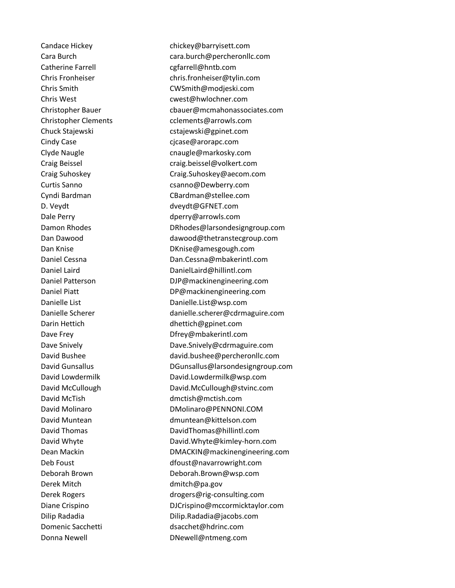Candace Hickey chickey@barryisett.com Catherine Farrell catherine Farrell catherine Farrell catherine catherine catherine catherine catherine cather Cindy Case cjcase@arorapc.com D. Veydt dveydt@GFNET.com Derek Mitch dmitch@pa.gov

 Cara Burch cara.burch@percheronllc.com Chris Fronheiser chris.fronheiser@tylin.com Chris Smith CWSmith@modjeski.com Chris West cwest@hwlochner.com Christopher Bauer cbauer@mcmahonassociates.com Christopher Clements cclements@arrowls.com Chuck Stajewski chuck Stajewski Clyde Naugle cnaugle@markosky.com Craig Beissel craig.beissel@volkert.com Craig Suhoskey Craig.Suhoskey@aecom.com Curtis Sanno **compared contains Curtis Sanno** csanno @Dewberry.com Cyndi Bardman CBardman@stellee.com Dale Perry **Dale Perry Community** dperry@arrowls.com Damon Rhodes **DRhodes** DRhodes **DRhodes** DRhodes **DRhodes** are not a DRhodes **DR**hodes ignals are not a metal Dan Dawood dawood@thetranstecgroup.com Dan Knise **DRIGHTER** DKnise@amesgough.com Daniel Cessna Dan.Cessna@mbakerintl.com Daniel Laird DanielLaird@hillintl.com Daniel Patterson DJP@mackinengineering.com Daniel Piatt DP@mackinengineering.com Danielle List Danielle.List@wsp.com Danielle Scherer danielle.scherer@cdrmaguire.com Darin Hettich dhettich@gpinet.com Dave Frey **Dave Frey Community** Dfrey@mbakerintl.com Dave Snively **Dave.Snively@cdrmaguire.com** David Bushee david.bushee@percheronllc.com David Gunsallus DGunsallus@larsondesigngroup.com David Lowdermilk David.Lowdermilk@wsp.com David McCullough David.McCullough@stvinc.com David McTish dmctish@mctish.com David Molinaro **DMolinaro** DMolinaro **DMolinaro** PENNONI.COM David Muntean dmuntean@kittelson.com David Thomas DavidThomas@hillintl.com David Whyte David.Whyte@kimley-horn.com Dean Mackin **DMACKIN@mackinengineering.com** Deb Foust dfoust@navarrowright.com Deborah Brown Deborah.Brown@wsp.com Derek Rogers drogers@rig-consulting.com Diane Crispino **DICrispino** DJCrispino **OUCrispino DICrispino OUCRY**  Dilip Radadia Dilip.Radadia@jacobs.com Domenic Sacchetti dsacchet@hdrinc.com Donna Newell **Disk and American** DNewell@ntmeng.com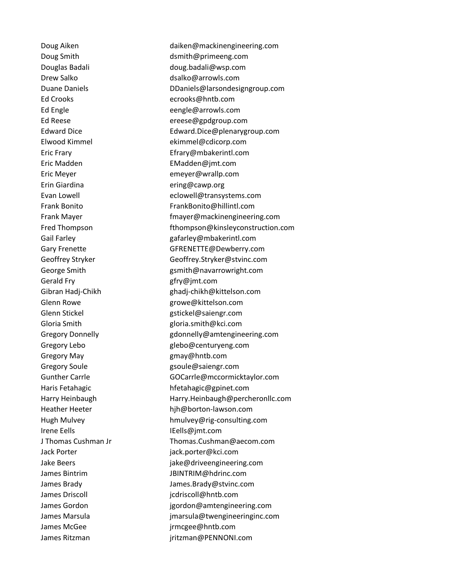Ed Crooks ecrooks@hntb.com Eric Madden EMadden@jmt.com Eric Meyer emeyer@wrallp.com Erin Giardina ering@cawp.org Gerald Fry Gerald Fry Gerald Fry Gerald Fry Gerald Fry Gerald Executive Lines Gregory May **gmay@hntb.com** Gregory Soule **Gregory** Soule **gsoule@saiengr.com** Irene Eells **IEells@jmt.com**  Jack Porter jack.porter@kci.com James Driscoll **implementary in the set of the community** in the intervals in the set of the set of the set of t James McGee discussed by the settlement of the settlement of the settlement of the settlement of the settlement of the settlement of the settlement of the settlement of the settlement of the settlement of the settlement of

Doug Aiken daiken@mackinengineering.com Doug Smith dsmith@primeeng.com Douglas Badali doug.badali@wsp.com Drew Salko dsalko@arrowls.com Duane Daniels **DED** DDaniels@larsondesigngroup.com Ed Engle eengle@arrowls.com Ed Reese ereese@gpdgroup.com Edward Dice Edward.Dice@plenarygroup.com Elwood Kimmel ekimmel@cdicorp.com Eric Frary Efrary@mbakerintl.com Evan Lowell eclowell@transystems.com Frank Bonito **FrankBonito@hillintl.com** Frank Mayer **Frank Mayer** Frank Mayer **Frank Mayer Frank Mayer Communist** Service Communist Communist Communist Communist Communist Communist Communist Communist Communist Communist Communist Communist Communist Commun Fred Thompson **Fred Thompson** fthompson@kinsleyconstruction.com Gail Farley **Gail Farley** Gail Farley **Gail Farley** Gary Frenette GFRENETTE@Dewberry.com Geoffrey Stryker Geoffrey.Stryker@stvinc.com George Smith George Smith gsmith@navarrowright.com Gibran Hadj-Chikh ghadj-chikh@kittelson.com Glenn Rowe and the state of the state growe@kittelson.com Glenn Stickel and Glenn Stickel Glenn Stickel Gloria Smith gloria.smith@kci.com Gregory Donnelly gdonnelly@amtengineering.com Gregory Lebo and the glebo@centuryeng.com Gunther Carrle GOCarrle@mccormicktaylor.com Haris Fetahagic hfetahagic@gpinet.com Harry Heinbaugh Harry.Heinbaugh@percheronllc.com Heather Heeter hjh@borton-lawson.com Hugh Mulvey hmulvey@rig-consulting.com J Thomas Cushman Jr Thomas.Cushman@aecom.com Jake Beers **jake@driveengineering.com**  James Bintrim JBINTRIM@hdrinc.com James Brady James.Brady@stvinc.com James Gordon in the state of the second is gordon@amtengineering.com James Marsula jmarsula@twengineeringinc.com James Ritzman de Entremant de La Girls in Firitzman@PENNONI.com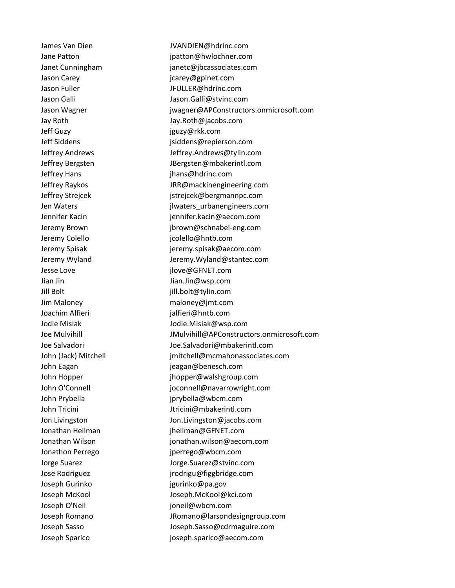Jeff Guzy jguzy@rkk.com Jeffrey Hans jhans@hdrinc.com Jesse Love jlove@GFNET.com Jian Jin Jian.Jin@wsp.com Jill Bolt jill.bolt@tylin.com Joachim Alfieri in the state of the interiments in the state of the state of the interior in the interior in the interior in the interior in the interior in the interior in the interior in the interior in the interior in t Joseph Gurinko igurinko@pa.gov Joseph O'Neil in the state of the power of the state of the state of the state of the state of the state of the state of the state of the state of the state of the state of the state of the state of the state of the state

 James Van Dien JVANDIEN@hdrinc.com Jane Patton **justice** in the settlement of the patton of patton @hwlochner.com Janet Cunningham janetc@jbcassociates.com Jason Carey and Carey icarey@gpinet.com Jason Fuller JFULLER@hdrinc.com Jason Galli Jason.Galli@stvinc.com Jason Wagner **department is a strong in the set of the strong is very set of the strong in the strong is a strong in the strong in the strong is a strong in the strong in the strong in the strong in the strong in the stron**  Jay Roth Jay.Roth@jacobs.com Jeff Siddens jsiddens@repierson.com Jeffrey Andrews Jeffrey.Andrews@tylin.com Jeffrey Bergsten JBergsten@mbakerintl.com Jeffrey Raykos JRR@mackinengineering.com Jeffrey Strejcek and Tester istrejcek@bergmannpc.com Jen Waters jlwaters\_urbanengineers.com Jennifer Kacin in the settlement of the settlement of the settlement of the settlement of the settlement of the settlement of the settlement of the settlement of the settlement of the settlement of the settlement of the se Jeremy Brown jbrown@schnabel-eng.com Jeremy Colello icolello@hntb.com Jeremy Spisak jeremy.spisak@aecom.com Jeremy Wyland Jeremy.Wyland@stantec.com Jim Maloney maloney@jmt.com Jodie Misiak Jodie.Misiak@wsp.com Joe Mulvihill JMulvihill@APConstructors.onmicrosoft.com Joe Salvadori Joe.Salvadori@mbakerintl.com John (Jack) Mitchell intervalsed imitchell@mcmahonassociates.com John Eagan de Communication de Communication de Jeagan@benesch.com John Hopper jhopper@walshgroup.com John O'Connell in the state of the proportional joconnell@navarrowright.com John Prybella jprybella@wbcm.com John Tricini **Matter and Tricini** Jtricini@mbakerintl.com Jon Livingston Jon.Livingston@jacobs.com Jonathan Heilman international property interfaces and international property interface in the international p Jonathan Wilson jonathan.wilson@aecom.com Jonathon Perrego in the summary perrego@wbcm.com Jorge Suarez Jorge.Suarez@stvinc.com Jose Rodriguez jrodrigu@figgbridge.com Joseph McKool Joseph.McKool@kci.com Joseph Romano JRomano@larsondesigngroup.com Joseph Sasso Joseph.Sasso@cdrmaguire.com Joseph Sparico joseph.sparico@aecom.com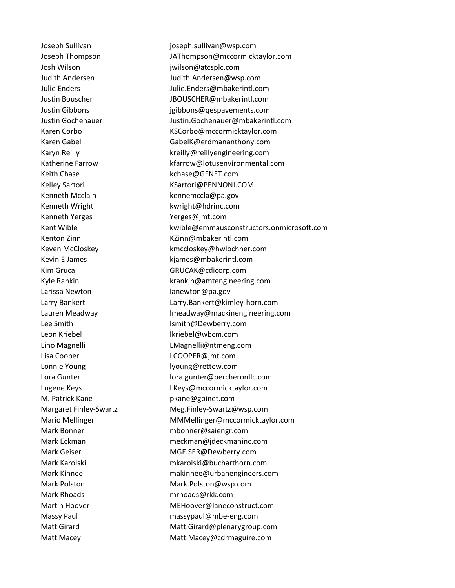Josh Wilson jwilson@atcsplc.com Keith Chase **Keith Chase** Keith Chase **Keith Chase** Kehase **MET**.com Kenneth Mcclain kennemccla@pa.gov Kenneth Wright **Kenneth Wright** Kwright@hdrinc.com Kenneth Yerges The Terrace Yerges@jmt.com Larissa Newton **lanewton@pa.gov** Leon Kriebel **in the authority of the UK** lkriebel@wbcm.com Lisa Cooper Lisa Cooper LCOOPER@jmt.com Lonnie Young and the state of the lyoung@rettew.com M. Patrick Kane **plane** pkane@gpinet.com Mark Rhoads mrhoads@rkk.com

 Joseph Sullivan joseph.sullivan@wsp.com Joseph Thompson JAThompson@mccormicktaylor.com Judith Andersen Judith.Andersen@wsp.com Julie Enders Julie.Enders@mbakerintl.com Justin Bouscher JBOUSCHER@mbakerintl.com Justin Gibbons jgibbons@qespavements.com Justin Gochenauer Justin.Gochenauer@mbakerintl.com Karen Corbo KSCorbo@mccormicktaylor.com Karen Gabel **GabelK@erdmananthony.com** Karyn Reilly **Kreilly@reillyengineering.com** Katherine Farrow **Katherine Farrow** Kfarrow@lotusenvironmental.com Kelley Sartori KSartori@PENNONI.COM Kent Wible kwible@emmausconstructors.onmicrosoft.com Kenton Zinn **KZinn** KZinn@mbakerintl.com Keven McCloskey **Karloskey@hwlochner.com** Kevin E James **Kevin E James** Kiames@mbakerintl.com Kim Gruca GRUCAK@cdicorp.com Kyle Rankin krankin@amtengineering.com Larry Bankert Larry.Bankert@kimley-horn.com Lauren Meadway lmeadway@mackinengineering.com Lee Smith lsmith@Dewberry.com Lino Magnelli **Land Communist Communist Communist Communist Communist Communist Communist Communist Communist Communist Communist Communist Communist Communist Communist Communist Communist Communist Communist Communist Co** Lora Gunter lora.gunter@percheronllc.com Lugene Keys Manuscriptus LKeys@mccormicktaylor.com Margaret Finley-Swartz Meg.Finley-Swartz@wsp.com Mario Mellinger MMMellinger@mccormicktaylor.com Mark Bonner mbonner@saiengr.com Mark Eckman meckman@jdeckmaninc.com Mark Geiser MGEISER@Dewberry.com Mark Karolski mkarolski@bucharthorn.com Mark Kinnee makinnee@urbanengineers.com Mark Polston Mark.Polston@wsp.com Martin Hoover **MEHoover@laneconstruct.com**  Massy Paul massypaul@mbe-eng.com Matt Girard Matt.Girard@plenarygroup.com Matt Macey Matt.Macey@cdrmaguire.com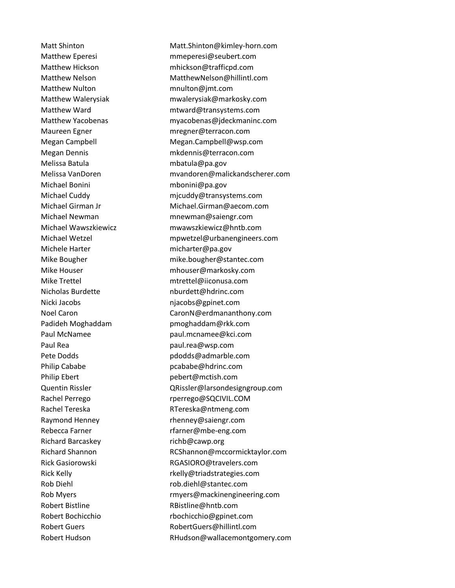Matthew Nulton mnulton@jmt.com Melissa Batula mbatula@pa.gov Michael Bonini mbonini@pa.gov Michele Harter micharter@pa.gov Nicki Jacobs niacobs@gpinet.com Paul Rea **paul.rea@wsp.com** Philip Cababe **proposed by Cababe@hdrinc.com** Philip Ebert **pebert pebert a** pebert **pebert pebert pebert pebert pebert pebert period** Richard Barcaskey richb@cawp.org Robert Bistline **RBistline@hntb.com** 

 Matt Shinton Matt.Shinton@kimley-horn.com Matthew Eperesi mmeperesi@seubert.com Matthew Hickson mhickson@trafficpd.com Matthew Nelson MatthewNelson@hillintl.com Matthew Walerysiak mwalerysiak@markosky.com Matthew Ward methods mtward@transystems.com Matthew Yacobenas myacobenas@jdeckmaninc.com Maureen Egner mregner@terracon.com Megan Campbell Megan.Campbell@wsp.com Megan Dennis mkdennis@terracon.com Melissa VanDoren mvandoren@malickandscherer.com Michael Cuddy micuddy@transystems.com Michael Girman Jr Michael.Girman@aecom.com Michael Newman mnewman@saiengr.com Michael Wawszkiewicz mwawszkiewicz@hntb.com Michael Wetzel mpwetzel@urbanengineers.com Mike Bougher mike.bougher@stantec.com Mike Houser mhouser@markosky.com Mike Trettel mtrettel@iiconusa.com Nicholas Burdette nburdett@hdrinc.com Noel Caron CaronN@erdmananthony.com Padideh Moghaddam pmoghaddam@rkk.com Paul McNamee **paul.mcnamee@kci.com** Pete Dodds **pdodds@admarble.com**  Quentin Rissler QRissler@larsondesigngroup.com Rachel Perrego rperrego@SQCIVIL.COM Rachel Tereska **RTereska** RTereska @ntmeng.com Raymond Henney Thenney@saiengr.com Rebecca Farner rfarner@mbe-eng.com Richard Shannon RCShannon@mccormicktaylor.com Rick Gasiorowski RGASIORO@travelers.com Rick Kelly **Rick Kelly Rick Kelly Rick Kelly Rick Kelly Rick Kelly Rick Rick Rick Rick Rick Rick Rick Rick Rick Rick Rick Rick Rick Rick Rick Rick Rick Rick Rick Rick Rick**  Rob Diehl rob.diehl@stantec.com Rob Myers rmyers@mackinengineering.com Robert Bochicchio rbochicchio@gpinet.com Robert Guers RobertGuers@hillintl.com Robert Hudson **RHudson@wallacemontgomery.com**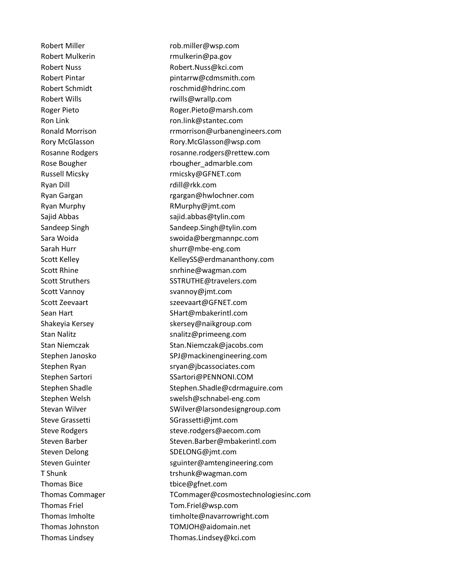Ryan Dill rdill@rkk.com Thomas Bice the thice @gfnet.com

Robert Miller rob.miller@wsp.com Robert Mulkerin rmulkerin@pa.gov Robert Nuss Robert.Nuss@kci.com Robert Pintar **pintarrw@cdmsmith.com** Robert Schmidt roschmid@hdrinc.com Robert Wills **Robert Wills** Roger Pieto **Roger.Pieto@marsh.com** Ron Link ron.link@stantec.com Ronald Morrison **Ronald Morrison** rrmorrison@urbanengineers.com Rory McGlasson **Rory.McGlasson@wsp.com** Rosanne Rodgers rosanne.rodgers@rettew.com Rose Bougher **Rose Bougher** rbougher\_admarble.com Russell Micsky rmicsky@GFNET.com Ryan Gargan **Rangan Caracasa Ryan Gargan** rgargan@hwlochner.com Ryan Murphy **RMurphy RMurphy @jmt.com** Sajid Abbas sajid.abbas@tylin.com Sandeep Singh Sandeep.Singh@tylin.com Sara Woida Sara Woida swoida@bergmannpc.com Sarah Hurr shurr@mbe-eng.com Scott Kelley Managem Museum KelleySS@erdmananthony.com Scott Rhine Scott Rhine snrhine@wagman.com Scott Struthers SCOTTE SSTRUTHE@travelers.com Scott Vannoy Scott Vannoy Community Strange Scott Vannoy Community Strange Strange Strange Strange Strange Str Scott Zeevaart and State Scott Zeevaart and Szeevaart @GFNET.com Sean Hart Sean Hart Sean Hart Sean Hart Sean Hart Sean Hart General Sean Hart Sean Hart Sean Hart Se Shakeyia Kersey skersey@naikgroup.com Stan Nalitz Stan Nalitz snalitz@primeeng.com Stan Niemczak **Stan.Niemczak@jacobs.com**  Stephen Janosko SPJ@mackinengineering.com Stephen Ryan sryan@jbcassociates.com Stephen Sartori Santori SSartori@PENNONI.COM Stephen Shadle Stephen.Shadle@cdrmaguire.com Stephen Welsh swelsh@schnabel-eng.com Stevan Wilver **SWilver@larsondesigngroup.com** Steve Grassetti SGrassetti@jmt.com Steve Rodgers steve.rodgers@aecom.com Steven Barber Steven.Barber@mbakerintl.com Steven Delong SDELONG@jmt.com Steven Guinter states and spuinter@amtengineering.com T Shunk trshunk@wagman.com Thomas Commager TCommager@cosmostechnologiesinc.com Thomas Friel Tom.Friel@wsp.com Thomas Imholte timholte@navarrowright.com Thomas Johnston TOMJOH@aidomain.net Thomas Lindsey Thomas.Lindsey@kci.com